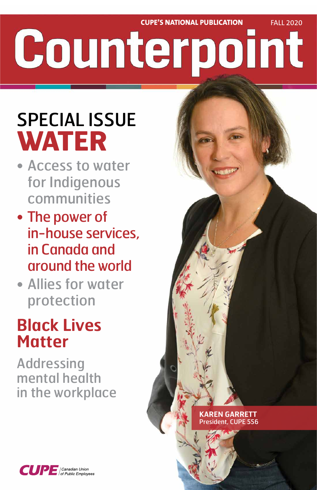# **CUPE'S NATIONAL PUBLICATION** FALL 2020 Counterpoint

# SPECIAL ISSUE **WATER**

- Access to water for Indigenous communities
- The power of in-house services, in Canada and around the world
- Allies for water protection

## **Black Lives Matter**

### Addressing mental health in the workplace



#### **KAREN GARRETT** President, CUPE 556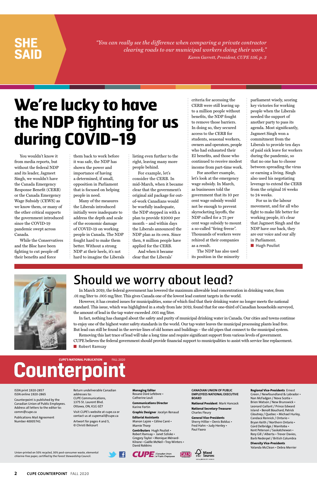*"You can really see the difference when comparing a private contractor clearing roads to our municipal workers doing their work." Karen Garrett, President, CUPE 556, p. 3*

### **SHE SAID**

Union-printed on 50% recycled, 30% post-consumer waste, elemental chlorine-free paper, certified by the Forest Stewardship Council.





#### ISSN print 1920-2857 ISSN online 1920-2865

Counterpoint is published by the Canadian Union of Public Employees. Address all letters to the editor to: comm@cupe.ca

Publications Mail Agreement Number 40005741

Return undeliverable Canadian addresses to: CUPE Communications, 1375 St. Laurent Blvd. Ottawa, ON, K1G 0Z7

Visit CUPE's website at cupe.ca or contact us at cupemail@cupe.ca

Artwort for pages 4 and 5, © Christi Belcourt

**Managing Editor** Rosane Doré Lefebvre • Catherine Louli

**Communications Director** Karine Fortin

**Graphic Designer** Jocelyn Renaud

**Editorial Assistants** Manon Lajoie • Céline Carré • Marnie Thorp

**Contributors** Hugh Pouliot • Robert Ramsay • Janet Szliske • Gregory Taylor • Monique Ménard-Kilrane • Gaëlle McNeil • Troy Winters • David Robbins

**CANADIAN UNION OF PUBLIC EMPLOYEES NATIONAL EXECUTIVE BOARD**

**National President** Mark Hancock

**National Secretary-Treasurer** Charles Fleury

**General Vice-Presidents** Sherry Hillier • Denis Bolduc • Fred Hahn • Judy Henley • Paul Faoro

Mixed<br>Sources

#### **Regional Vice-Presidents** Ernest Green / Newfoundland & Labrador • Nan McFadgen / Nova Scotia • Brien Watson / New Brunswick • Leonard Gallant / Prince Edward Island • Benoît Bouchard, Patrick Gloutney / Quebec • Michael Hurley, Candace Rennick / Ontario • Bryan Keith / Northern Ontario • Gord Delbridge / Manitoba • Kent Peterson / Saskatchewan • Rory Gill / Alberta • Trevor Davies, Barb Nederpel / British Columbia

**Diversity Vice-Presidents** Yolanda McClean • Debra Merrier

**2 CUPE COUNTERPOINT** FALL 2020

You wouldn't know it from media reports, but without the federal NDP and its leader, Jagmeet Singh, we wouldn't have the Canada Emergency Response Benefit (CERB) or the Canada Emergency Wage Subsidy (CEWS) as we know them, or many of the other critical supports the government introduced since the COVID-19 pandemic swept across Canada.

While the Conservatives and the Bloc have been fighting to cut people off their benefits and force

them back to work before it was safe, the NDP has shown the power and importance of having a determined, if small, opposition in Parliament that is focused on helping people in need.

Many of the measures the Liberals introduced initially were inadequate to address the depth and scale of the economic damage of COVID-19 on working people in Canada. The NDP fought hard to make them better. Without a strong NDP at their heels, it's not hard to imagine the Liberals listing even further to the right, leaving many more people behind.

For example, let's consider the CERB. In mid-March, when it became clear that the government's original aid package for outof-work Canadians would be woefully inadequate, the NDP stepped in with a plan to provide \$2000 per month – and within days the Liberals announced the NDP plan as its own. Since then, 8 million people have applied for the CERB.

And when it became clear that the Liberals'

criteria for accessing the CERB were still leaving up to a million people without benefits, the NDP fought to remove those barriers. In doing so, they secured access to the CERB for students, seasonal workers, owners and operators, people who had exhausted their EI benefits, and those who continued to receive modest income from part-time work.

For another example, let's look at the emergency wage subsidy. In March, as businesses told the government that its 10 per cent wage subsidy would not be enough to prevent skyrocketing layoffs, the NDP called for a 75 per cent wage subsidy to mount a so-called "firing freeze". Thousands of workers were rehired at their companies as a result.

The NDP has also used its position in the minority parliament wisely, scoring key victories for working people when the Liberals needed the support of another party to pass its agenda. Most significantly, Jagmeet Singh won a commitment from the Liberals to provide ten days of paid sick leave for workers during the pandemic, so that no one has to choose between spreading the virus or earning a living. Singh also used his negotiating leverage to extend the CERB from the original 16 weeks to 24 weeks.

For us in the labour movement, and for all who fight to make life better for working people, it's clear that Jagmeet Singh and the NDP have our back, they are our voice and our ally in Parliament.

■ **Hugh Pouliot** 



## **We're lucky to have the NDP fighting for us during COVID-19**

### Should we worry about lead?

In March 2019, the federal government has lowered the maximum allowable lead concentration in drinking water, from .01 mg/liter to .005 mg/liter. This gives Canada one of the lowest lead content targets in the world.

However, it has created issues for municipalities, some of which find that their drinking water no longer meets the national standard. This issue, which was highlighted in a study from late 2019, found that for one-third of Canadian households surveyed, the amount of lead in the tap water exceeded .005 mg/liter.

In fact, nothing has changed about the safety and purity of municipal drinking water in Canada. Our cities and towns continue to enjoy one of the highest water safety standards in the world. Our tap water leaves the municipal processing plants lead free. But lead can still be found in the service lines of old homes and buildings – the old pipes that connect to the municipal system.

Removing this last trace of lead will take a long time and require significant support from various levels of government. CUPE believes the federal government should provide financial support to municipalities to assist with service line replacement. ■ **Robert Ramsay**

# **Counterpoint**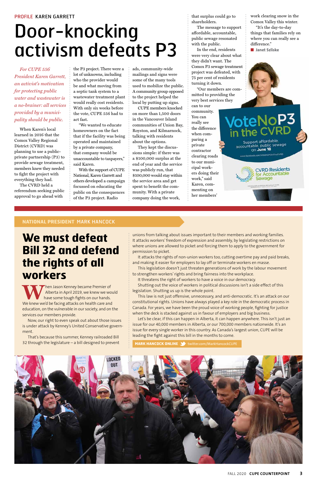#### **NATIONAL PRESIDENT** MARK HANCOCK

*For CUPE 556 President Karen Garrett, an activist's motivation for protecting public water and wastewater is a no-brainer: all services provided by a municipality should be public.* 

When Karen's local learned in 2016 that the Comox Valley Regional District (CVRD) was planning to use a publicprivate partnership (P3) to provide sewage treatment, members knew they needed to fight the project with everything they had.

The CVRD held a referendum seeking public approval to go ahead with

the P3 project. There were a lot of unknowns, including who the provider would be and what moving from a septic tank system to a wastewater treatment plant would really cost residents. With only six weeks before the vote, CUPE 556 had to act fast.

"We wanted to educate homeowners on the fact that if the facility was being operated and maintained by a private company, that company would be unaccountable to taxpayers," said Karen.

With the support of CUPE National, Karen Garrett and others developed a campaign focussed on educating the public on the consequences of the P3 project. Radio

ads, community-wide mailings and signs were some of the many tools used to mobilize the public. A community group opposed to the project helped the local by putting up signs.

When Jason Kenney became Premier of<br>Alberta in April 2019, we knew we wo<br>Ne knew we'd be facing attacks on bealth care and Alberta in April 2019, we knew we would have some tough fights on our hands. We knew we'd be facing attacks on health care and education, on the vulnerable in our society, and on the services our members provide.

CUPE members knocked on more than 1,500 doors in the Vancouver Island communities of Union Bay, Royston, and Kilmarnock, talking with residents about the options.

They kept the discussions simple: if there was a \$100,000 surplus at the end of year and the service was publicly run, that \$100,000 would stay within the service area and get spent to benefit the community. With a private company doing the work,

that surplus could go to shareholders.

The message to support affordable, accountable, public sewage resonated with the public.

In the end, residents were very clear about what they didn't want. The Comox P3 sewage treatment project was defeated, with 75 per cent of residents turning it down.

"Our members are committed to providing the very best services they

can to our community. You can really see the difference when comparing a private contractor clearing roads to our municipal workers doing their work," said Karen, commenting on her members'

work clearing snow in the Comox Valley this winter. "It's the day-to-day

things that families rely on where you can really see a difference."

■ **Janet Szliske**



Support affordable, accountable, public sewage on June 18 ww.facebook.com/VoteNoP3InTheCVRD

oteNoP3

**CVRD Residents** for Accountable Sewage

### **We must defeat Bill 32 and defend the rights of all workers**

Now, our right to even speak out about those issues is under attack by Kenney's United Conservative government.

That's because this summer, Kenney railroaded Bill 32 through the legislature – a bill designed to prevent unions from talking about issues important to their members and working families. It attacks workers' freedom of expression and assembly, by legislating restrictions on where unions are allowed to picket and forcing them to apply to the government for permission to picket.

It attacks the rights of non-union workers too, cutting overtime pay and paid breaks, and making it easier for employers to lay off or terminate workers en masse.

This legislation doesn't just threaten generations of work by the labour movement to strengthen workers' rights and bring fairness into the workplace.

It threatens the right of workers to have a voice in our democracy.

Shutting out the voice of workers in political discussions isn't a side effect of this legislation. Shutting us up is the whole point.

This law is not just offensive, unnecessary, and anti-democratic. It's an attack on our constitutional rights. Unions have always played a key role in the democratic process in Canada. For years, we have been the proud voice of working people, fighting for justice when the deck is stacked against us in favour of employers and big business.

Let's be clear, if this can happen in Alberta, it can happen anywhere. This isn't just an issue for our 40,000 members in Alberta, or our 700,000 members nationwide. It's an issue for every single worker in this country. As Canada's largest union, CUPE will be leading the fight against this bill in the months to come.

**MARK HANCOCK ONLINE 3** twitter.com/MarkHancockCUPE



# Door-knocking activism defeats P3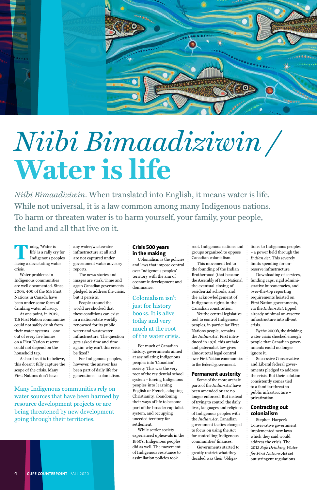

# *Niibi Bimaadiziwin /*  **Water is life**

*Niibi Bimaadiziwin*. When translated into English, it means water is life. While not universal, it is a law common among many Indigenous nations. To harm or threaten water is to harm yourself, your family, your people, the land and all that live on it.

**Today, 'Water is<br>life' is a rally cry Indigenous pec** life' is a rally cry for Indigenous peoples facing a devastating water crisis.

Water problems in Indigenous communities are well documented. Since 2004, 400 of the 614 First Nations in Canada have been under some form of drinking water advisory.

At one point, in 2012, 116 First Nation communities could not safely drink from their water systems − one out of every five homes on a First Nation reserve could not depend on the household tap.

As hard as it is to believe,

this doesn't fully capture the scope of the crisis. Many First Nations don't have

any water/wastewater infrastructure at all and are not captured under government water advisory reports.

The news stories and images are stark. Time and again Canadian governments pledged to address the crisis, but it persists.

People around the world are shocked that these conditions can exist in a nation-state worldly renowned for its public water and wastewater infrastructure. The question gets asked time and time again: why can't this crisis be fixed?

For Indigenous peoples,

however, the answer has been part of daily life for generations – colonialism.

#### **Crisis 500 years in the making**

Colonialism is the policies and laws that impose control over Indigenous peoples' territory with the aim of economic development and dominance.

Colonialism isn't just for history books. It is alive today and very much at the root of the water crisis.

For much of Canadian history, governments aimed at assimilating Indigenous peoples into 'Canadian' society. This was the very root of the residential school system – forcing Indigenous peoples into learning English or French, adopting Christianity, abandoning their ways of life to become part of the broader capitalist system, and occupying unceded territory for settlement. While settler society experienced upheavals in the 1960's, Indigenous peoples did as well. The movement of Indigenous resistance to assimilation policies took

root. Indigenous nations and groups organized to oppose Canadian colonialism.

This movement led to the founding of the Indian Brotherhood (that became the Assembly of First Nations), the eventual closing of residential schools, and the acknowledgement of Indigenous rights in the Canadian constitution.

Yet the central legislative tool to control Indigenous peoples, in particular First Nations people, remains – the *Indian Act*. First introduced in 1876, this archaic and paternalist law gives almost total legal control over First Nation communities

to the federal government.

#### **Permanent austerity**

Some of the more archaic parts of the *Indian Act* have been amended or are no longer enforced. But instead of trying to control the daily lives, languages and religions of Indigenous peoples with the *Indian Act*, Canadian government tactics changed to focus on using the Act for controlling Indigenous communities' finances. Governments started to greatly restrict what they decided was their 'obligations' to Indigenous peoples – a power held through the *Indian Act*. This severely limits spending for onreserve infrastructure.

Downloading of services, funding caps, rigid administrative bureaucracies, and over-the-top reporting requirements hoisted on First Nation governments, via the *Indian Act*, tipped already minimal on-reserve infrastructure into all-out crisis.

By the 2000's, the drinking water crisis shocked enough people that Canadian governments could no longer ignore it.

Successive Conservative

and Liberal federal governments pledged to address the crisis. But their solution consistently comes tied to a familiar threat to public infrastructure – privatization.

#### **Contracting out colonialism**

Stephen Harper's Conservative government implemented new laws which they said would address the crisis. The 2013 *Safe Drinking Water for First Nations Act* set out stringent regulations

Many Indigenous communities rely on water sources that have been harmed by resource development projects or are being threatened by new development going through their territories.

**4 CUPE COUNTERPOINT** FALL 2020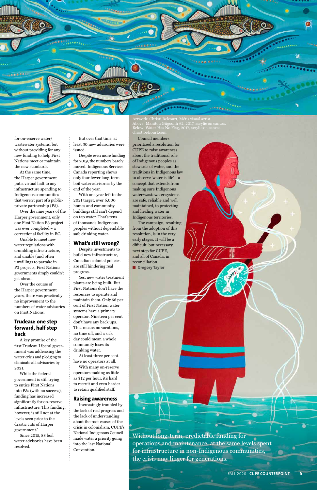

for on-reserve water/ wastewater systems, but without providing for any new funding to help First Nations meet or maintain the new standards.

At the same time, the Harper government put a virtual halt to any infrastructure spending to Indigenous communities that weren't part of a publicprivate partnership (P3).

Over the nine years of the Harper government, only one First Nation P3 project was ever completed – a correctional facility in BC.

Unable to meet new water regulations with crumbling infrastructure, and unable (and often unwilling) to partake in P3 projects, First Nations governments simply couldn't get ahead.

Over the course of the Harper government years, there was practically no improvement to the numbers of water advisories on First Nations.

#### **Trudeau: one step forward, half step back**

A key promise of the first Trudeau Liberal government was addressing the water crisis and pledging to

eliminate all advisories by 2021.

While the federal government is still trying to entice First Nations into P3s (with no success), funding has increased significantly for on-reserve infrastructure. This funding, however, is still not at the levels seen prior to the drastic cuts of Harper government."

Since 2015, 88 boil water advisories have been resolved.

But over that time, at least 30 new advisories were issued.

Despite even more funding for 2019, the numbers barely moved. Indigenous Services Canada reporting shows only four fewer long-term boil water advisories by the end of the year.

> The campaign, resulting from the adoption of this resolution, is in the very early stages. It will be a difficult, but necessary, next step for CUPE, and all of Canada, in reconciliation. ■ **Gregory Taylor**

With one year left to the 2021 target, over 6,000 homes and community buildings still can't depend on tap water. That's tens of thousands Indigenous peoples without dependable safe drinking water.

#### **What's still wrong?**

Despite investments to build new infrastructure, Canadian colonial policies are still hindering real progress.

Yes, new water treatment plants are being built. But First Nations don't have the resources to operate and maintain them. Only 56 per cent of First Nation water systems have a primary operator. Nineteen per cent don't have any back ups. That means no vacations, no time off, and a sick day could mean a whole community loses its drinking water.

At least three per cent have no operators at all. With many on-reserve operators making as little as \$12 per hour, it's hard to recruit and even harder to retain qualified staff.

#### **Raising awareness**

Increasingly troubled by the lack of real progress and the lack of understanding about the root causes of the crisis in colonialism, CUPE's National Indigenous Council made water a priority going into the last National Convention.

Council members prioritized a resolution for CUPE to raise awareness about the traditional role of Indigenous peoples as stewards of water, and the traditions in Indigenous law to observe 'water is life' – a concept that extends from making sure Indigenous water/wastewater systems are safe, reliable and well maintained, to protecting and healing water in Indigenous territories.

Without long-term, predictable funding for operations and maintenance, at the same levels spent for infrastructure in non-Indigenous communities, the crisis may linger for generations.

FALL 2020 **CUPE COUNTERPOINT** 

Artwork: Christi Belcourt, Métis visual artist Above: Manitou Giigoonh #2, 2017, acrylic on canvas. Below: Water Has No Flag, 2017, acrylic on canvas. christibelcourt.com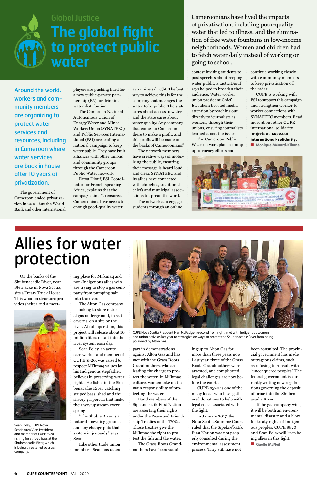On the banks of the Shubenacadie River, near Stewiacke in Nova Scotia, sits a Treaty Truck House. This wooden structure provides shelter and a meet-



ing place for Mi'kmaq and non-Indigenous allies who are trying to stop a gas company from pumping salt into the river.

The Alton Gas company is looking to store natural gas underground, in salt caverns, on a site by the river. At full operation, this project will release about 10 million liters of salt into the river system each day.

Sean Foley, an acute care worker and member of CUPE 8920, was raised to respect Mi'kmaq values by his Indigenous stepfather, believes in preserving water rights. He fishes in the Shubenacadie River, catching striped bass, shad and the silvery gaspereau that make their way upstream every spring.

"The Shubie River is a natural spawning ground, and any change puts that system in jeopardy," says Sean.

Like other trade union members, Sean has taken part in demonstrations against Alton Gas and has met with the Grass Roots Grandmothers, who are leading the charge to protect the water. In Mi'kmaq culture, women take on the main responsibility of protecting the water. Band members of the Sipekne'katik First Nation are asserting their rights under the Peace and Friendship Treaties of the 1700s. Those treaties give the Mi'kmaq the right to protect the fish and the water. The Grass Roots Grandmothers have been standing up to Alton Gas for more than three years now. Last year, three of the Grass Roots Grandmothers were arrested, and complicated legal challenges are now before the courts. CUPE 8920 is one of the many locals who have gathered donations to help with legal costs associated with the fight. In January 2017, the Nova Scotia Supreme Court ruled that the Sipekne'katik First Nation was not properly consulted during the environmental assessment process. They still have not

been consulted. The provincial government has made outrageous claims, such as refusing to consult with "unconquered peoples." The federal government is currently writing new regulations governing the deposit of brine into the Shubenacadie River. If the gas company wins, it will be both an environmental disaster and a blow for treaty rights of Indigenous peoples. CUPE 8920 and Sean Foley will keep being allies in this fight.

CUPE is working with PSI to support this campaign and strengthen worker-toworker connections with SYNATEEC members. Read more about other CUPE international solidarity projects at **cupe.ca/ international-solidarity**. ■ **Monique Ménard-Kilrane** 



■ **Gaëlle McNeil**

**6 CUPE COUNTERPOINT** FALL 2020

Around the world, workers and community members are organizing to protect water services and resources, including in Cameroon where water services are back in house after 10 years of privatization.

The government of Cameroon ended privatization in 2018, but the World Bank and other international

players are pushing hard for a new public-private partnership (P3) for drinking water distribution.

The Cameroon National Autonomous Union of Energy Water and Mines Workers Union (SYNATEEC) and Public Services International (PSI) are leading a national campaign to keep water public. They have built alliances with other unions and community groups through the Cameroon Public Water network.

Fatou Diouf, PSI Coordinator for French-speaking Africa, explains that the campaign aims "to ensure all Cameroonians have access to enough good-quality water,

as a universal right. The best way to achieve this is for the company that manages the water to be public. The state cares about access to water and the state cares about water quality. Any company that comes to Cameroon is there to make a profit, and this profit will be made on the backs of Cameroonians."

The network members have creative ways of mobilizing the public, ensuring their message is heard loud and clear. SYNATEEC and its allies have connected with churches, traditional chiefs and municipal associations to spread the word.

The network also engaged students through an online

contest inviting students to post speeches about keeping water public, a tactic Diouf says helped to broaden their audience. Water worker union president Chief Ewoukem boosted media attention by reaching out directly to journalists as workers, through their unions, ensuring journalists learned about the issues.

The Cameroon Public Water network plans to ramp up advocacy efforts and

continue working closely with community members to keep privatization off the radar.

## Allies for water protection

Cameroonians have lived the impacts of privatization, including poor-quality water that led to illness, and the elimination of free water fountains in low-income neighborhoods. Women and children had to fetch water daily instead of working or going to school.



### Global Justice **The global fight to protect public water**

Sean Foley, CUPE Nova Scotia Area Vice-President and member of CUPE 8920 fishing for striped bass at the Shubenacadie River, which is being threatened by a gas company.



CUPE Nova Scotia President Nan McFadgen (second from right) met with Indigenous women and union activists last year to strategize on ways to protect the Shubenacadie River from being poisoned by Alton Gas.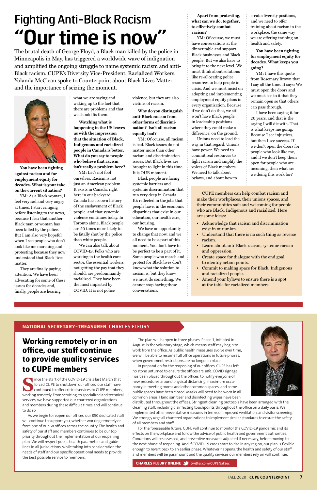#### **NATIONAL SECRETARY-TREASURER** CHARLES FLEURY

The plan will happen in three phases. Phase 1, initiated in August, is the voluntary stage, which means staff may begin to work from the office. As public health measures evolve over time, we will be able to resume full office operations in future phases, when government restrictions are no longer in place.



In preparation for the reopening of our offices, CUPE has left no stone unturned to ensure the offices are safe. COVID signage has been placed throughout the offices, to notify everyone of new procedures around physical distancing, maximum occupancy in meeting rooms and other common spaces, and some public spaces have been closed. Masks will need to be worn in all common areas. Hand sanitizer and disinfecting wipes have been

distributed throughout the offices. Stringent cleaning protocols have been arranged with the cleaning staff, including disinfecting touchpoints throughout the office on a daily basis. We implemented other preventative measures in terms of improved ventilation, and visitor screening. We strongly urge all chartered organizations to implement similar standards to ensure the safety of all members and staff.

For the foreseeable future, CUPE will continue to monitor the COVID-19 pandemic and its effects on the workplace and follow the advice of public health and government authorities. Conditions will be assessed, and preventive measures adjusted if necessary, before moving to the next phase of reopening. And if COVID-19 cases start to rise in any region, our plan is flexible enough to revert back to an earlier phase. Whatever happens, the health and safety of our staff and members will be paramount and the quality services our members rely on will continue.

**CHARLES FLEURY ONLINE** twitter.com/CUPENatSec

**Working remotely or in an office, our staff continue to provide quality services** 

### **to CUPE members**

**S**ince the start of the COVID-19 crisis last March that forced CUPE to shutdown our offices, our staff have continued to offer critical services to CUPE members, working remotely. From servicing, to specialized and technical services, we have supported our chartered organizations and members during these difficult times and will continue to do so.

As we begin to reopen our offices, our 850 dedicated staff will continue to support you, whether working remotely or from one of our 68 offices across the country. The health and safety of our staff and members continues to be our top priority throughout the implementation of our reopening plan. We will respect public health parameters and guidelines in all jurisdictions, while taking into consideration the needs of staff and our specific operational needs to provide the best possible service to members.

**You have been fighting against racism and for employment equity for decades. What is your take on the current situation?** 

YM: As a Black woman, I feel very sad and very angry at times. I start cringing before listening to the news, because I fear that another Black man or woman has been killed by the police. But I am also very hopeful when I see people who don't look like me marching and protesting because they now understand that Black lives matter.

They are finally paying attention. We have been advocating for some of these issues for decades and, finally, people are hearing

what we are saying and waking up to the fact that there are problems and that we should fix them.

**Watching what is happening in the US leaves us with the impression that the situation of Black, Indigenous and racialized people in Canada is better. What do you say to people who believe that racism isn't really a problem here?** 

YM: Let's not fool ourselves. Racism is not just an American problem. It exists in Canada, right here in our backyard. Canada has its own history of the enslavement of Black people, and that systemic violence continues today. In Toronto alone, Black people are 20 times more likely to be fatally shot by the police than white people.

We can also talk about COVID-19. Folks who are working in the health care sector, the essential workers not getting the pay that they should, are predominantly racialized. They have been the most impacted by COVID. It is not police

violence, but they are also victims of racism.

**Why do you distinguish anti-Black racism from other forms of discrimination? Isn't all racism equally bad?** 

YM: Of course, all racism is bad. Black issues do not matter more than other racism and discrimination issues. But Black lives are brought to light in this time. It is OUR moment.

Black people are facing systemic barriers and systemic discrimination that run very deep in Canada. It's reflected in the jobs that people have, in the economic disparities that exist in our education, our health care, our housing.

We have an opportunity to change that now, and we all need to be a part of this moment. You don't have to be perfect to be a part of it. Some people who march and protest for Black lives don't know what the solution to racism is, but they know we must do something. We cannot stop having these conversations.

**Apart from protesting, what can we do, together, to effectively combat racism?** 

YM: Of course, we must have conversations at the dinner table and support Black businesses and Black people. But we also have to bring it to the next level. We must think about solutions like re-allocating police resources to help people in crisis. And we must insist on adopting and implementing employment equity plans in every organization. Because if we don't do that, we still won't have Black people in leadership positions where they could make a difference, on the ground.

Unions need to lead the way in that regard. Unions have power. We need to commit real resources to fight racism and amplify the voices of Black members. We need to talk about bylaws, and about how to

create diversity positions, and we need to offer training about racism in the workplace, the same way we are offering training on health and safety.

**You have been fighting for employment equity for decades. What keeps you going?** 

YM: I have this quote from Rosemary Brown that I say all the time. It says: We must open the doors and we must see to it that they remain open so that others can pass through.

I have been saying it for 20 years, and that is the saying I will die with. That is what keeps me going. Because I see injustices, but then I see success. If we don't open the doors for people who look like me, and if we don't keep them open for people who are incoming, then what are we doing this work for?

## Fighting Anti-Black Racism **"Our time is now"**

The brutal death of George Floyd, a Black man killed by the police in Minneapolis in May, has triggered a worldwide wave of indignation and amplified the ongoing struggle to name systemic racism and anti-Black racism. CUPE's Diversity Vice-President, Racialized Workers, Yolanda McClean spoke to Counterpoint about Black Lives Matter and the importance of seizing the moment.



CUPE members can help combat racism and make their workplaces, their unions spaces, and their communities safe and welcoming for people who are Black, Indigenous and racialized. Here are some ideas:

- Acknowledge that racism and discrimination exist in our union.
- Understand that there is no such thing as reverse racism.
- Learn about anti-Black racism, systemic racism and oppression.
- Create space for dialogue with the end goal to identify action points.
- Commit to making space for Black, Indigenous and racialized people.
- Amend your bylaws to ensure there is a spot at the table for racialized members.